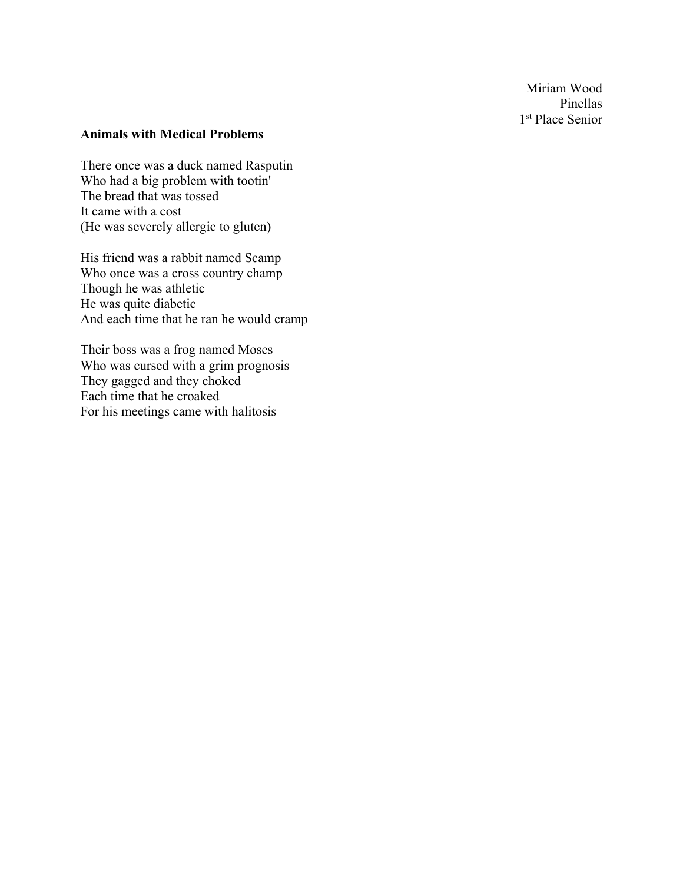Miriam Wood Pinellas 1<sup>st</sup> Place Senior

## **Animals with Medical Problems**

There once was a duck named Rasputin Who had a big problem with tootin' The bread that was tossed It came with a cost (He was severely allergic to gluten)

His friend was a rabbit named Scamp Who once was a cross country champ Though he was athletic He was quite diabetic And each time that he ran he would cramp

Their boss was a frog named Moses Who was cursed with a grim prognosis They gagged and they choked Each time that he croaked For his meetings came with halitosis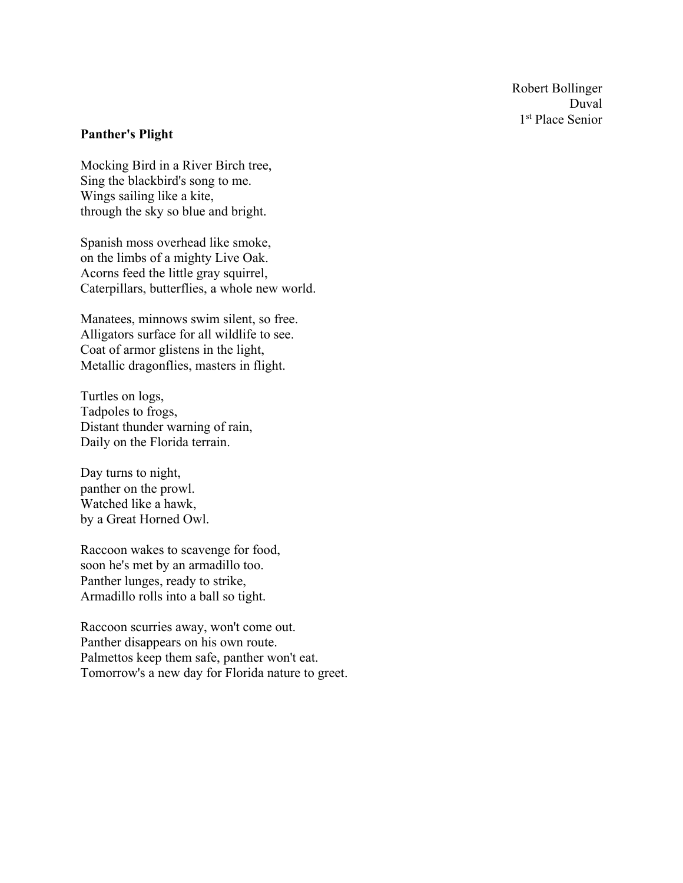Robert Bollinger Duval 1<sup>st</sup> Place Senior

## **Panther's Plight**

Mocking Bird in a River Birch tree, Sing the blackbird's song to me. Wings sailing like a kite, through the sky so blue and bright.

Spanish moss overhead like smoke, on the limbs of a mighty Live Oak. Acorns feed the little gray squirrel, Caterpillars, butterflies, a whole new world.

Manatees, minnows swim silent, so free. Alligators surface for all wildlife to see. Coat of armor glistens in the light, Metallic dragonflies, masters in flight.

Turtles on logs, Tadpoles to frogs, Distant thunder warning of rain, Daily on the Florida terrain.

Day turns to night, panther on the prowl. Watched like a hawk, by a Great Horned Owl.

Raccoon wakes to scavenge for food, soon he's met by an armadillo too. Panther lunges, ready to strike, Armadillo rolls into a ball so tight.

Raccoon scurries away, won't come out. Panther disappears on his own route. Palmettos keep them safe, panther won't eat. Tomorrow's a new day for Florida nature to greet.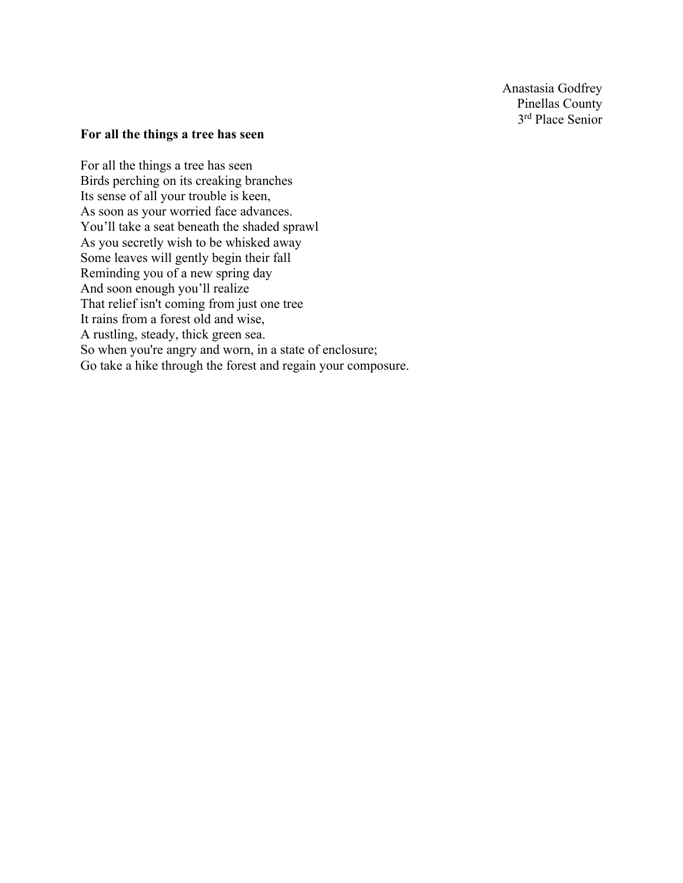Anastasia Godfrey Pinellas County 3<sup>rd</sup> Place Senior

## **For all the things a tree has seen**

For all the things a tree has seen Birds perching on its creaking branches Its sense of all your trouble is keen, As soon as your worried face advances. You'll take a seat beneath the shaded sprawl As you secretly wish to be whisked away Some leaves will gently begin their fall Reminding you of a new spring day And soon enough you'll realize That relief isn't coming from just one tree It rains from a forest old and wise, A rustling, steady, thick green sea. So when you're angry and worn, in a state of enclosure; Go take a hike through the forest and regain your composure.